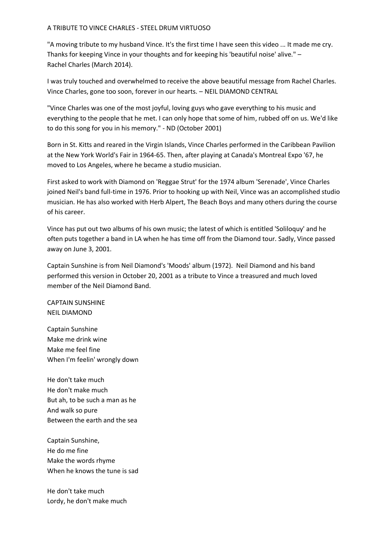## A TRIBUTE TO VINCE CHARLES - STEEL DRUM VIRTUOSO

"A moving tribute to my husband Vince. It's the first time I have seen this video ... It made me cry. Thanks for keeping Vince in your thoughts and for keeping his 'beautiful noise' alive." – Rachel Charles (March 2014).

I was truly touched and overwhelmed to receive the above beautiful message from Rachel Charles. Vince Charles, gone too soon, forever in our hearts. – NEIL DIAMOND CENTRAL

"Vince Charles was one of the most joyful, loving guys who gave everything to his music and everything to the people that he met. I can only hope that some of him, rubbed off on us. We'd like to do this song for you in his memory." - ND (October 2001)

Born in St. Kitts and reared in the Virgin Islands, Vince Charles performed in the Caribbean Pavilion at the New York World's Fair in 1964-65. Then, after playing at Canada's Montreal Expo '67, he moved to Los Angeles, where he became a studio musician.

First asked to work with Diamond on 'Reggae Strut' for the 1974 album 'Serenade', Vince Charles joined Neil's band full-time in 1976. Prior to hooking up with Neil, Vince was an accomplished studio musician. He has also worked with Herb Alpert, The Beach Boys and many others during the course of his career.

Vince has put out two albums of his own music; the latest of which is entitled 'Soliloquy' and he often puts together a band in LA when he has time off from the Diamond tour. Sadly, Vince passed away on June 3, 2001.

Captain Sunshine is from Neil Diamond's 'Moods' album (1972). Neil Diamond and his band performed this version in October 20, 2001 as a tribute to Vince a treasured and much loved member of the Neil Diamond Band.

CAPTAIN SUNSHINE NEIL DIAMOND

Captain Sunshine Make me drink wine Make me feel fine When I'm feelin' wrongly down

He don't take much He don't make much But ah, to be such a man as he And walk so pure Between the earth and the sea

Captain Sunshine, He do me fine Make the words rhyme When he knows the tune is sad

He don't take much Lordy, he don't make much